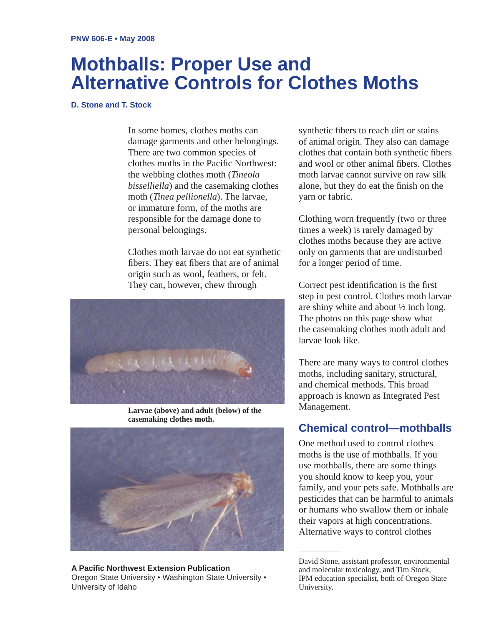# **Mothballs: Proper Use and Alternative Controls for Clothes Moths**

#### **D. Stone and T. Stock**

In some homes, clothes moths can damage garments and other belongings. There are two common species of clothes moths in the Pacific Northwest: the webbing clothes moth (*Tineola bisselliella*) and the casemaking clothes moth (*Tinea pellionella*). The larvae, or immature form, of the moths are responsible for the damage done to personal belongings.

Clothes moth larvae do not eat synthetic fibers. They eat fibers that are of animal origin such as wool, feathers, or felt. They can, however, chew through



**Larvae (above) and adult (below) of the casemaking clothes moth.**



**A Pacifi c Northwest Extension Publication** Oregon State University • Washington State University • University of Idaho

synthetic fibers to reach dirt or stains of animal origin. They also can damage clothes that contain both synthetic fibers and wool or other animal fibers. Clothes moth larvae cannot survive on raw silk alone, but they do eat the finish on the yarn or fabric.

Clothing worn frequently (two or three times a week) is rarely damaged by clothes moths because they are active only on garments that are undisturbed for a longer period of time.

Correct pest identification is the first step in pest control. Clothes moth larvae are shiny white and about ½ inch long. The photos on this page show what the casemaking clothes moth adult and larvae look like.

There are many ways to control clothes moths, including sanitary, structural, and chemical methods. This broad approach is known as Integrated Pest Management.

## **Chemical control—mothballs**

One method used to control clothes moths is the use of mothballs. If you use mothballs, there are some things you should know to keep you, your family, and your pets safe. Mothballs are pesticides that can be harmful to animals or humans who swallow them or inhale their vapors at high concentrations. Alternative ways to control clothes

David Stone, assistant professor, environmental and molecular toxicology, and Tim Stock, IPM education specialist, both of Oregon State University.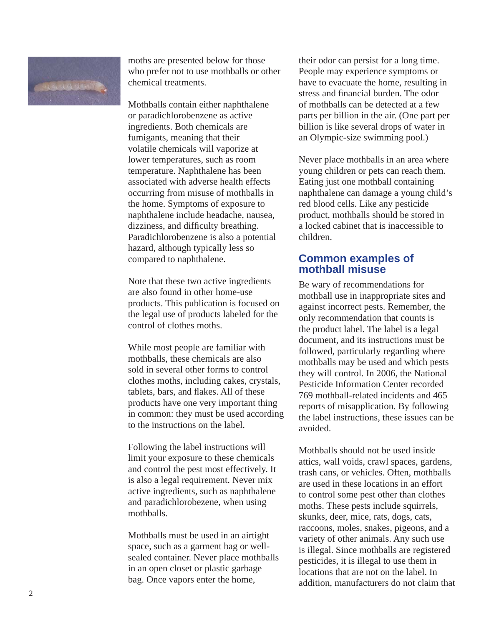

moths are presented below for those who prefer not to use mothballs or other chemical treatments.

Mothballs contain either naphthalene or paradichlorobenzene as active ingredients. Both chemicals are fumigants, meaning that their volatile chemicals will vaporize at lower temperatures, such as room temperature. Naphthalene has been associated with adverse health effects occurring from misuse of mothballs in the home. Symptoms of exposure to naphthalene include headache, nausea, dizziness, and difficulty breathing. Paradichlorobenzene is also a potential hazard, although typically less so compared to naphthalene.

Note that these two active ingredients are also found in other home-use products. This publication is focused on the legal use of products labeled for the control of clothes moths.

While most people are familiar with mothballs, these chemicals are also sold in several other forms to control clothes moths, including cakes, crystals, tablets, bars, and flakes. All of these products have one very important thing in common: they must be used according to the instructions on the label.

Following the label instructions will limit your exposure to these chemicals and control the pest most effectively. It is also a legal requirement. Never mix active ingredients, such as naphthalene and paradichlorobezene, when using mothballs.

Mothballs must be used in an airtight space, such as a garment bag or wellsealed container. Never place mothballs in an open closet or plastic garbage bag. Once vapors enter the home,

their odor can persist for a long time. People may experience symptoms or have to evacuate the home, resulting in stress and financial burden. The odor of mothballs can be detected at a few parts per billion in the air. (One part per billion is like several drops of water in an Olympic-size swimming pool.)

Never place mothballs in an area where young children or pets can reach them. Eating just one mothball containing naphthalene can damage a young child's red blood cells. Like any pesticide product, mothballs should be stored in a locked cabinet that is inaccessible to children.

#### **Common examples of mothball misuse**

Be wary of recommendations for mothball use in inappropriate sites and against incorrect pests. Remember, the only recommendation that counts is the product label. The label is a legal document, and its instructions must be followed, particularly regarding where mothballs may be used and which pests they will control. In 2006, the National Pesticide Information Center recorded 769 mothball-related incidents and 465 reports of misapplication. By following the label instructions, these issues can be avoided.

Mothballs should not be used inside attics, wall voids, crawl spaces, gardens, trash cans, or vehicles. Often, mothballs are used in these locations in an effort to control some pest other than clothes moths. These pests include squirrels, skunks, deer, mice, rats, dogs, cats, raccoons, moles, snakes, pigeons, and a variety of other animals. Any such use is illegal. Since mothballs are registered pesticides, it is illegal to use them in locations that are not on the label. In addition, manufacturers do not claim that